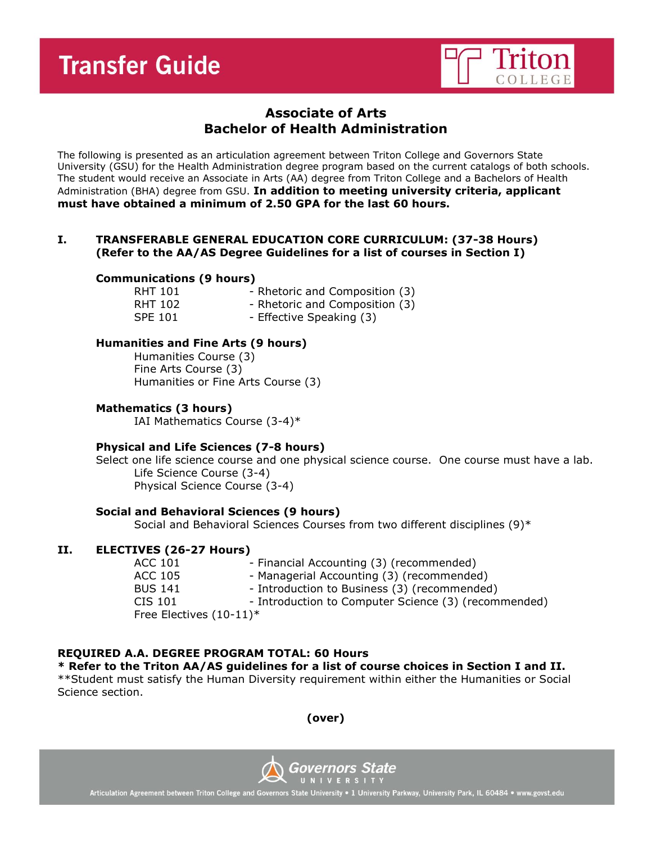

# **Associate of Arts Bachelor of Health Administration**

The following is presented as an articulation agreement between Triton College and Governors State University (GSU) for the Health Administration degree program based on the current catalogs of both schools. The student would receive an Associate in Arts (AA) degree from Triton College and a Bachelors of Health Administration (BHA) degree from GSU. **In addition to meeting university criteria, applicant must have obtained a minimum of 2.50 GPA for the last 60 hours.**

#### **I. TRANSFERABLE GENERAL EDUCATION CORE CURRICULUM: (37-38 Hours) (Refer to the AA/AS Degree Guidelines for a list of courses in Section I)**

#### **Communications (9 hours)**

RHT 101 - Rhetoric and Composition (3) RHT 102 - Rhetoric and Composition (3) SPE 101 - Effective Speaking (3)

# **Humanities and Fine Arts (9 hours)**

Humanities Course (3) Fine Arts Course (3) Humanities or Fine Arts Course (3)

#### **Mathematics (3 hours)**

IAI Mathematics Course (3-4)\*

# **Physical and Life Sciences (7-8 hours)**

Select one life science course and one physical science course. One course must have a lab. Life Science Course (3-4) Physical Science Course (3-4)

#### **Social and Behavioral Sciences (9 hours)**

Social and Behavioral Sciences Courses from two different disciplines (9)\*

# **II. ELECTIVES (26-27 Hours)**

| ACC 101        | - Financial Accounting (3) (recommended)             |
|----------------|------------------------------------------------------|
| ACC 105        | - Managerial Accounting (3) (recommended)            |
| <b>BUS 141</b> | - Introduction to Business (3) (recommended)         |
| CIS 101        | - Introduction to Computer Science (3) (recommended) |
|                | Free Electives (10-11)*                              |

# **REQUIRED A.A. DEGREE PROGRAM TOTAL: 60 Hours**

# **\* Refer to the Triton AA/AS guidelines for a list of course choices in Section I and II.**

\*\*Student must satisfy the Human Diversity requirement within either the Humanities or Social Science section.

**(over)**



Articulation Agreement between Triton College and Governors State University . 1 University Parkway, University Park, IL 60484 . www.govst.edu